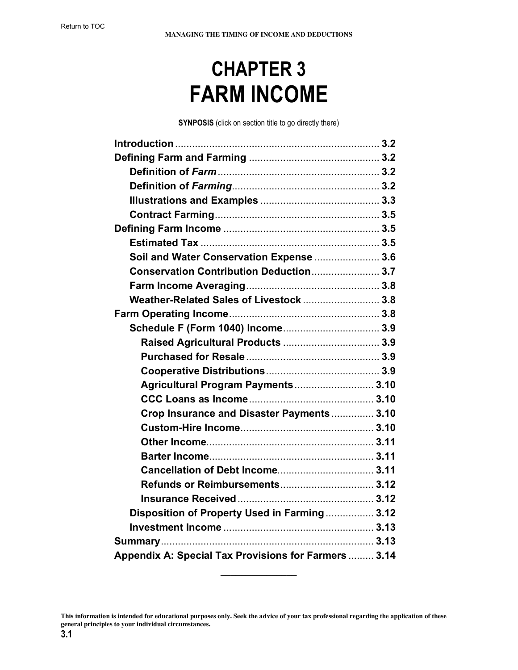# **CHAPTER 3 FARM INCOME**

**SYNPOSIS** (click on section title to go directly there)

| Soil and Water Conservation Expense  3.6             |  |
|------------------------------------------------------|--|
| Conservation Contribution Deduction 3.7              |  |
|                                                      |  |
| Weather-Related Sales of Livestock  3.8              |  |
|                                                      |  |
| Schedule F (Form 1040) Income 3.9                    |  |
|                                                      |  |
|                                                      |  |
|                                                      |  |
| Agricultural Program Payments 3.10                   |  |
|                                                      |  |
| Crop Insurance and Disaster Payments  3.10           |  |
|                                                      |  |
|                                                      |  |
|                                                      |  |
|                                                      |  |
| <b>Refunds or Reimbursements 3.12</b>                |  |
|                                                      |  |
| Disposition of Property Used in Farming 3.12         |  |
|                                                      |  |
|                                                      |  |
| Appendix A: Special Tax Provisions for Farmers  3.14 |  |

 $\frac{1}{2}$ 

**This information is intended for educational purposes only. Seek the advice of your tax professional regarding the application of these general principles to your individual circumstances.**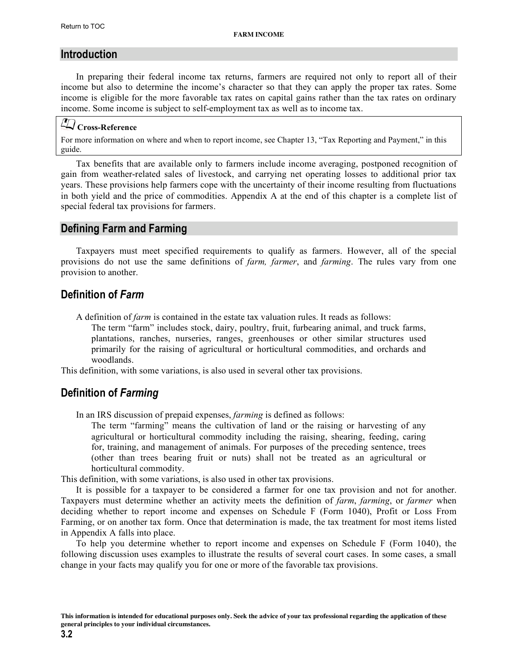## <span id="page-1-0"></span>**Introduction**

In preparing their federal income tax returns, farmers are required not only to report all of their income but also to determine the income's character so that they can apply the proper tax rates. Some income is eligible for the more favorable tax rates on capital gains rather than the tax rates on ordinary income. Some income is subject to self-employment tax as well as to income tax.

# **Cross-Reference**

For more information on where and when to report income, see Chapter 13, "Tax Reporting and Payment," in this guide.

Tax benefits that are available only to farmers include income averaging, postponed recognition of gain from weather-related sales of livestock, and carrying net operating losses to additional prior tax years. These provisions help farmers cope with the uncertainty of their income resulting from fluctuations in both yield and the price of commodities. Appendix A at the end of this chapter is a complete list of special federal tax provisions for farmers.

## **Defining Farm and Farming**

Taxpayers must meet specified requirements to qualify as farmers. However, all of the special provisions do not use the same definitions of *farm, farmer*, and *farming*. The rules vary from one provision to another.

## **Definition of** *Farm*

A definition of *farm* is contained in the estate tax valuation rules. It reads as follows:

The term "farm" includes stock, dairy, poultry, fruit, furbearing animal, and truck farms, plantations, ranches, nurseries, ranges, greenhouses or other similar structures used primarily for the raising of agricultural or horticultural commodities, and orchards and woodlands.

This definition, with some variations, is also used in several other tax provisions.

## **Definition of** *Farming*

In an IRS discussion of prepaid expenses, *farming* is defined as follows:

The term "farming" means the cultivation of land or the raising or harvesting of any agricultural or horticultural commodity including the raising, shearing, feeding, caring for, training, and management of animals. For purposes of the preceding sentence, trees (other than trees bearing fruit or nuts) shall not be treated as an agricultural or horticultural commodity.

This definition, with some variations, is also used in other tax provisions.

It is possible for a taxpayer to be considered a farmer for one tax provision and not for another. Taxpayers must determine whether an activity meets the definition of *farm*, *farming*, or *farmer* when deciding whether to report income and expenses on Schedule F (Form 1040), Profit or Loss From Farming, or on another tax form. Once that determination is made, the tax treatment for most items listed in Appendix A falls into place.

To help you determine whether to report income and expenses on Schedule F (Form 1040), the following discussion uses examples to illustrate the results of several court cases. In some cases, a small change in your facts may qualify you for one or more of the favorable tax provisions.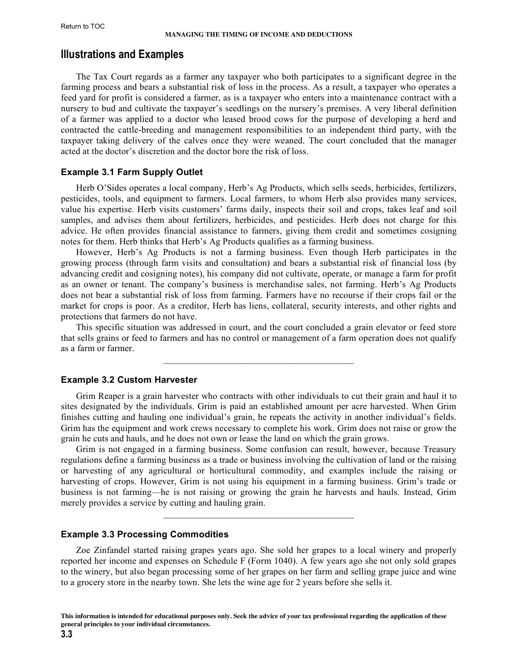## <span id="page-2-0"></span>**Illustrations and Examples**

The Tax Court regards as a farmer any taxpayer who both participates to a significant degree in the farming process and bears a substantial risk of loss in the process. As a result, a taxpayer who operates a feed yard for profit is considered a farmer, as is a taxpayer who enters into a maintenance contract with a nursery to bud and cultivate the taxpayer's seedlings on the nursery's premises. A very liberal definition of a farmer was applied to a doctor who leased brood cows for the purpose of developing a herd and contracted the cattle-breeding and management responsibilities to an independent third party, with the taxpayer taking delivery of the calves once they were weaned. The court concluded that the manager acted at the doctor's discretion and the doctor bore the risk of loss.

#### **Example 3.1 Farm Supply Outlet**

Herb O'Sides operates a local company, Herb's Ag Products, which sells seeds, herbicides, fertilizers, pesticides, tools, and equipment to farmers. Local farmers, to whom Herb also provides many services, value his expertise. Herb visits customers' farms daily, inspects their soil and crops, takes leaf and soil samples, and advises them about fertilizers, herbicides, and pesticides. Herb does not charge for this advice. He often provides financial assistance to farmers, giving them credit and sometimes cosigning notes for them. Herb thinks that Herb's Ag Products qualifies as a farming business.

However, Herb's Ag Products is not a farming business. Even though Herb participates in the growing process (through farm visits and consultation) and bears a substantial risk of financial loss (by advancing credit and cosigning notes), his company did not cultivate, operate, or manage a farm for profit as an owner or tenant. The company's business is merchandise sales, not farming. Herb's Ag Products does not bear a substantial risk of loss from farming. Farmers have no recourse if their crops fail or the market for crops is poor. As a creditor, Herb has liens, collateral, security interests, and other rights and protections that farmers do not have.

This specific situation was addressed in court, and the court concluded a grain elevator or feed store that sells grains or feed to farmers and has no control or management of a farm operation does not qualify as a farm or farmer.

 $\mathcal{L}_\text{max} = \mathcal{L}_\text{max} = \mathcal{L}_\text{max} = \mathcal{L}_\text{max} = \mathcal{L}_\text{max} = \mathcal{L}_\text{max}$ 

#### **Example 3.2 Custom Harvester**

Grim Reaper is a grain harvester who contracts with other individuals to cut their grain and haul it to sites designated by the individuals. Grim is paid an established amount per acre harvested. When Grim finishes cutting and hauling one individual's grain, he repeats the activity in another individual's fields. Grim has the equipment and work crews necessary to complete his work. Grim does not raise or grow the grain he cuts and hauls, and he does not own or lease the land on which the grain grows.

Grim is not engaged in a farming business. Some confusion can result, however, because Treasury regulations define a farming business as a trade or business involving the cultivation of land or the raising or harvesting of any agricultural or horticultural commodity, and examples include the raising or harvesting of crops. However, Grim is not using his equipment in a farming business. Grim's trade or business is not farming—he is not raising or growing the grain he harvests and hauls. Instead, Grim merely provides a service by cutting and hauling grain.

 $\mathcal{L}_\text{max} = \mathcal{L}_\text{max} = \mathcal{L}_\text{max} = \mathcal{L}_\text{max} = \mathcal{L}_\text{max} = \mathcal{L}_\text{max}$ 

#### **Example 3.3 Processing Commodities**

Zoe Zinfandel started raising grapes years ago. She sold her grapes to a local winery and properly reported her income and expenses on Schedule F (Form 1040). A few years ago she not only sold grapes to the winery, but also began processing some of her grapes on her farm and selling grape juice and wine to a grocery store in the nearby town. She lets the wine age for 2 years before she sells it.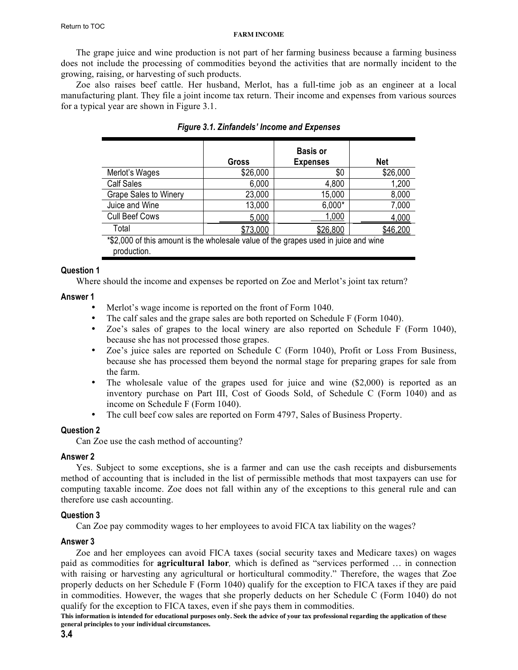The grape juice and wine production is not part of her farming business because a farming business does not include the processing of commodities beyond the activities that are normally incident to the growing, raising, or harvesting of such products.

Zoe also raises beef cattle. Her husband, Merlot, has a full-time job as an engineer at a local manufacturing plant. They file a joint income tax return. Their income and expenses from various sources for a typical year are shown in Figure 3.1.

|                                                                                                    |                 | <b>Basis or</b> |            |
|----------------------------------------------------------------------------------------------------|-----------------|-----------------|------------|
|                                                                                                    | Gross           | <b>Expenses</b> | <b>Net</b> |
| Merlot's Wages                                                                                     | \$26,000        | \$0             | \$26,000   |
| <b>Calf Sales</b>                                                                                  | 6,000           | 4,800           | 1,200      |
| <b>Grape Sales to Winery</b>                                                                       | 23,000          | 15,000          | 8,000      |
| Juice and Wine                                                                                     | 13,000          | $6,000*$        | 7,000      |
| <b>Cull Beef Cows</b>                                                                              | 5,000           | 1,000           | 4,000      |
| Total                                                                                              | <u>\$73,000</u> | \$26,800        | \$46,200   |
| *\$2,000 of this amount is the wholesale value of the grapes used in juice and wine<br>production. |                 |                 |            |

| <b>Figure 3.1. Zinfandels' Income and Expenses</b> |  |  |  |
|----------------------------------------------------|--|--|--|
|----------------------------------------------------|--|--|--|

## **Question 1**

Where should the income and expenses be reported on Zoe and Merlot's joint tax return?

## **Answer 1**

- Merlot's wage income is reported on the front of Form 1040.
- The calf sales and the grape sales are both reported on Schedule F (Form 1040).
- Zoe's sales of grapes to the local winery are also reported on Schedule F (Form 1040), because she has not processed those grapes.
- Zoe's juice sales are reported on Schedule C (Form 1040), Profit or Loss From Business, because she has processed them beyond the normal stage for preparing grapes for sale from the farm.
- The wholesale value of the grapes used for juice and wine  $(\$2,000)$  is reported as an inventory purchase on Part III, Cost of Goods Sold, of Schedule C (Form 1040) and as income on Schedule F (Form 1040).
- The cull beef cow sales are reported on Form 4797, Sales of Business Property.

## **Question 2**

Can Zoe use the cash method of accounting?

## **Answer 2**

Yes. Subject to some exceptions, she is a farmer and can use the cash receipts and disbursements method of accounting that is included in the list of permissible methods that most taxpayers can use for computing taxable income. Zoe does not fall within any of the exceptions to this general rule and can therefore use cash accounting.

## **Question 3**

Can Zoe pay commodity wages to her employees to avoid FICA tax liability on the wages?

## **Answer 3**

Zoe and her employees can avoid FICA taxes (social security taxes and Medicare taxes) on wages paid as commodities for **agricultural labor***,* which is defined as "services performed … in connection with raising or harvesting any agricultural or horticultural commodity." Therefore, the wages that Zoe properly deducts on her Schedule F (Form 1040) qualify for the exception to FICA taxes if they are paid in commodities. However, the wages that she properly deducts on her Schedule C (Form 1040) do not qualify for the exception to FICA taxes, even if she pays them in commodities.

**This information is intended for educational purposes only. Seek the advice of your tax professional regarding the application of these general principles to your individual circumstances.**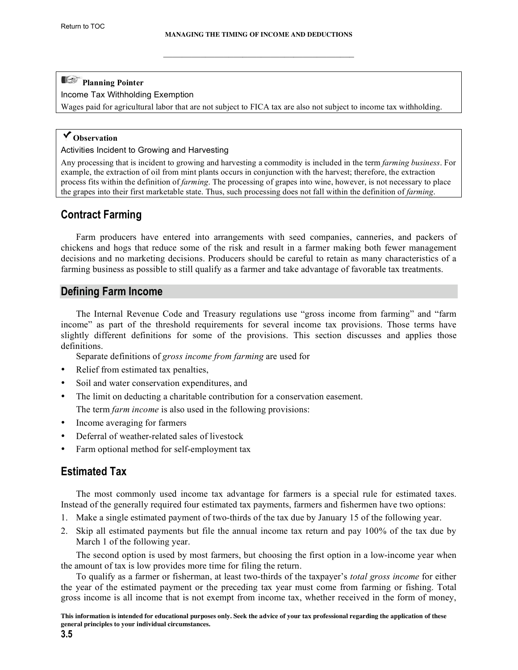$\mathcal{L}_\text{max} = \mathcal{L}_\text{max} = \mathcal{L}_\text{max} = \mathcal{L}_\text{max} = \mathcal{L}_\text{max} = \mathcal{L}_\text{max}$ 

# <span id="page-4-0"></span>**Planning Pointer**

Income Tax Withholding Exemption

Wages paid for agricultural labor that are not subject to FICA tax are also not subject to income tax withholding.

## **Observation**

#### Activities Incident to Growing and Harvesting

Any processing that is incident to growing and harvesting a commodity is included in the term *farming business*. For example, the extraction of oil from mint plants occurs in conjunction with the harvest; therefore, the extraction process fits within the definition of *farming*. The processing of grapes into wine, however, is not necessary to place the grapes into their first marketable state. Thus, such processing does not fall within the definition of *farming*.

# **Contract Farming**

Farm producers have entered into arrangements with seed companies, canneries, and packers of chickens and hogs that reduce some of the risk and result in a farmer making both fewer management decisions and no marketing decisions. Producers should be careful to retain as many characteristics of a farming business as possible to still qualify as a farmer and take advantage of favorable tax treatments.

## **Defining Farm Income**

The Internal Revenue Code and Treasury regulations use "gross income from farming" and "farm income" as part of the threshold requirements for several income tax provisions. Those terms have slightly different definitions for some of the provisions. This section discusses and applies those definitions.

Separate definitions of *gross income from farming* are used for

- Relief from estimated tax penalties,
- Soil and water conservation expenditures, and
- The limit on deducting a charitable contribution for a conservation easement. The term *farm income* is also used in the following provisions:
- Income averaging for farmers
- Deferral of weather-related sales of livestock
- Farm optional method for self-employment tax

## **Estimated Tax**

The most commonly used income tax advantage for farmers is a special rule for estimated taxes. Instead of the generally required four estimated tax payments, farmers and fishermen have two options:

- 1. Make a single estimated payment of two-thirds of the tax due by January 15 of the following year.
- 2. Skip all estimated payments but file the annual income tax return and pay 100% of the tax due by March 1 of the following year.

The second option is used by most farmers, but choosing the first option in a low-income year when the amount of tax is low provides more time for filing the return.

To qualify as a farmer or fisherman, at least two-thirds of the taxpayer's *total gross income* for either the year of the estimated payment or the preceding tax year must come from farming or fishing. Total gross income is all income that is not exempt from income tax, whether received in the form of money,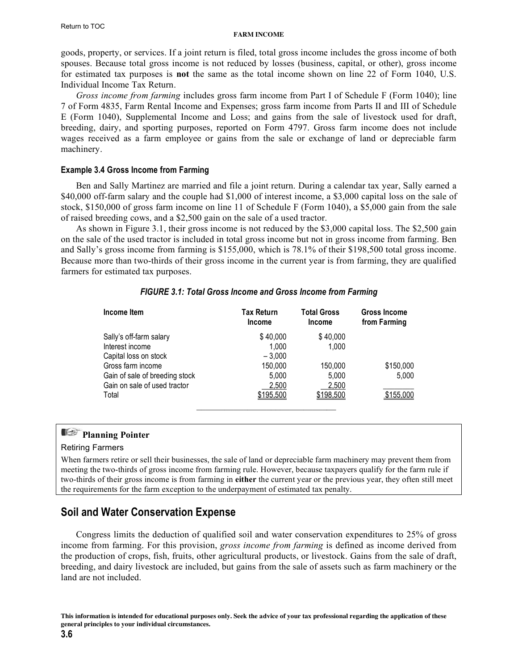<span id="page-5-0"></span>goods, property, or services. If a joint return is filed, total gross income includes the gross income of both spouses. Because total gross income is not reduced by losses (business, capital, or other), gross income for estimated tax purposes is **not** the same as the total income shown on line 22 of Form 1040, U.S. Individual Income Tax Return.

*Gross income from farming* includes gross farm income from Part I of Schedule F (Form 1040); line 7 of Form 4835, Farm Rental Income and Expenses; gross farm income from Parts II and III of Schedule E (Form 1040), Supplemental Income and Loss; and gains from the sale of livestock used for draft, breeding, dairy, and sporting purposes, reported on Form 4797. Gross farm income does not include wages received as a farm employee or gains from the sale or exchange of land or depreciable farm machinery.

## **Example 3.4 Gross Income from Farming**

Ben and Sally Martinez are married and file a joint return. During a calendar tax year, Sally earned a \$40,000 off-farm salary and the couple had \$1,000 of interest income, a \$3,000 capital loss on the sale of stock, \$150,000 of gross farm income on line 11 of Schedule F (Form 1040), a \$5,000 gain from the sale of raised breeding cows, and a \$2,500 gain on the sale of a used tractor.

As shown in Figure 3.1, their gross income is not reduced by the \$3,000 capital loss. The \$2,500 gain on the sale of the used tractor is included in total gross income but not in gross income from farming. Ben and Sally's gross income from farming is \$155,000, which is 78.1% of their \$198,500 total gross income. Because more than two-thirds of their gross income in the current year is from farming, they are qualified farmers for estimated tax purposes.

| Income Item                    | Tax Return<br><b>Income</b> | <b>Total Gross</b><br><b>Income</b> | <b>Gross Income</b><br>from Farming |
|--------------------------------|-----------------------------|-------------------------------------|-------------------------------------|
| Sally's off-farm salary        | \$40,000                    | \$40,000                            |                                     |
| Interest income                | 1,000                       | 1,000                               |                                     |
| Capital loss on stock          | $-3.000$                    |                                     |                                     |
| Gross farm income              | 150,000                     | 150,000                             | \$150,000                           |
| Gain of sale of breeding stock | 5,000                       | 5,000                               | 5,000                               |
| Gain on sale of used tractor   | 2,500                       | 2,500                               |                                     |
| Total                          | \$195,500                   | \$198,500                           | \$155,000                           |

## *FIGURE 3.1: Total Gross Income and Gross Income from Farming*

# **Planning Pointer**

#### Retiring Farmers

When farmers retire or sell their businesses, the sale of land or depreciable farm machinery may prevent them from meeting the two-thirds of gross income from farming rule. However, because taxpayers qualify for the farm rule if two-thirds of their gross income is from farming in **either** the current year or the previous year, they often still meet the requirements for the farm exception to the underpayment of estimated tax penalty.

# **Soil and Water Conservation Expense**

Congress limits the deduction of qualified soil and water conservation expenditures to 25% of gross income from farming. For this provision, *gross income from farming* is defined as income derived from the production of crops, fish, fruits, other agricultural products, or livestock. Gains from the sale of draft, breeding, and dairy livestock are included, but gains from the sale of assets such as farm machinery or the land are not included.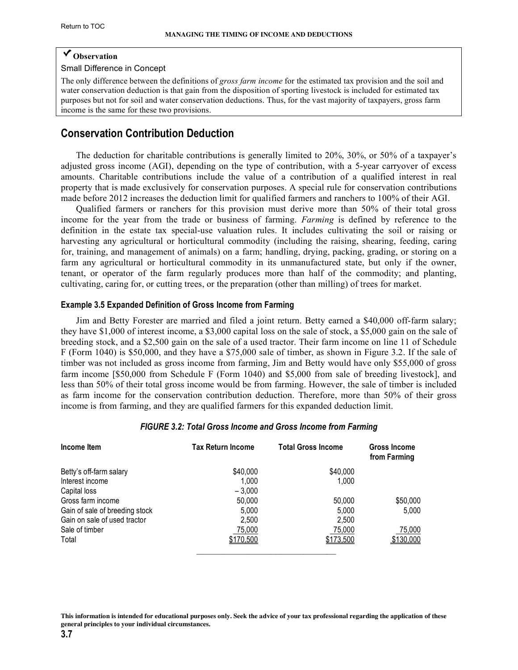## <span id="page-6-0"></span>**Observation**

Small Difference in Concept

The only difference between the definitions of *gross farm income* for the estimated tax provision and the soil and water conservation deduction is that gain from the disposition of sporting livestock is included for estimated tax purposes but not for soil and water conservation deductions. Thus, for the vast majority of taxpayers, gross farm income is the same for these two provisions.

## **Conservation Contribution Deduction**

The deduction for charitable contributions is generally limited to 20%, 30%, or 50% of a taxpayer's adjusted gross income (AGI), depending on the type of contribution, with a 5-year carryover of excess amounts. Charitable contributions include the value of a contribution of a qualified interest in real property that is made exclusively for conservation purposes. A special rule for conservation contributions made before 2012 increases the deduction limit for qualified farmers and ranchers to 100% of their AGI.

Qualified farmers or ranchers for this provision must derive more than 50% of their total gross income for the year from the trade or business of farming. *Farming* is defined by reference to the definition in the estate tax special-use valuation rules. It includes cultivating the soil or raising or harvesting any agricultural or horticultural commodity (including the raising, shearing, feeding, caring for, training, and management of animals) on a farm; handling, drying, packing, grading, or storing on a farm any agricultural or horticultural commodity in its unmanufactured state, but only if the owner, tenant, or operator of the farm regularly produces more than half of the commodity; and planting, cultivating, caring for, or cutting trees, or the preparation (other than milling) of trees for market.

#### **Example 3.5 Expanded Definition of Gross Income from Farming**

Jim and Betty Forester are married and filed a joint return. Betty earned a \$40,000 off-farm salary; they have \$1,000 of interest income, a \$3,000 capital loss on the sale of stock, a \$5,000 gain on the sale of breeding stock, and a \$2,500 gain on the sale of a used tractor. Their farm income on line 11 of Schedule F (Form 1040) is \$50,000, and they have a \$75,000 sale of timber, as shown in Figure 3.2. If the sale of timber was not included as gross income from farming, Jim and Betty would have only \$55,000 of gross farm income [\$50,000 from Schedule F (Form 1040) and \$5,000 from sale of breeding livestock], and less than 50% of their total gross income would be from farming. However, the sale of timber is included as farm income for the conservation contribution deduction. Therefore, more than 50% of their gross income is from farming, and they are qualified farmers for this expanded deduction limit.

| Income Item                    | <b>Tax Return Income</b> | <b>Total Gross Income</b> | Gross Income<br>from Farming |
|--------------------------------|--------------------------|---------------------------|------------------------------|
| Betty's off-farm salary        | \$40,000                 | \$40,000                  |                              |
| Interest income                | 1.000                    | 1,000                     |                              |
| Capital loss                   | $-3.000$                 |                           |                              |
| Gross farm income              | 50,000                   | 50,000                    | \$50,000                     |
| Gain of sale of breeding stock | 5,000                    | 5,000                     | 5,000                        |
| Gain on sale of used tractor   | 2,500                    | 2,500                     |                              |
| Sale of timber                 | 75,000                   | 75,000                    | 75,000                       |
| Total                          | \$170,500                | \$173,500                 | \$130,000                    |

#### *FIGURE 3.2: Total Gross Income and Gross Income from Farming*

**This information is intended for educational purposes only. Seek the advice of your tax professional regarding the application of these general principles to your individual circumstances.**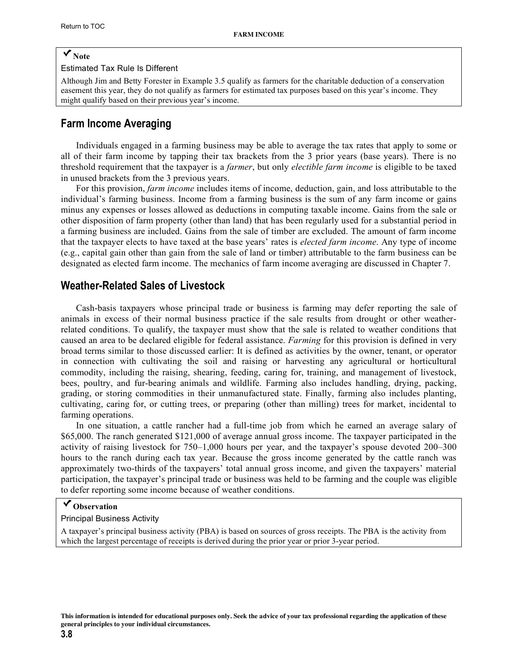# <span id="page-7-0"></span>**Note**

#### Estimated Tax Rule Is Different

Although Jim and Betty Forester in Example 3.5 qualify as farmers for the charitable deduction of a conservation easement this year, they do not qualify as farmers for estimated tax purposes based on this year's income. They might qualify based on their previous year's income.

## **Farm Income Averaging**

Individuals engaged in a farming business may be able to average the tax rates that apply to some or all of their farm income by tapping their tax brackets from the 3 prior years (base years). There is no threshold requirement that the taxpayer is a *farmer*, but only *electible farm income* is eligible to be taxed in unused brackets from the 3 previous years.

For this provision, *farm income* includes items of income, deduction, gain, and loss attributable to the individual's farming business. Income from a farming business is the sum of any farm income or gains minus any expenses or losses allowed as deductions in computing taxable income. Gains from the sale or other disposition of farm property (other than land) that has been regularly used for a substantial period in a farming business are included. Gains from the sale of timber are excluded. The amount of farm income that the taxpayer elects to have taxed at the base years' rates is *elected farm income*. Any type of income (e.g., capital gain other than gain from the sale of land or timber) attributable to the farm business can be designated as elected farm income. The mechanics of farm income averaging are discussed in Chapter 7.

## **Weather-Related Sales of Livestock**

Cash-basis taxpayers whose principal trade or business is farming may defer reporting the sale of animals in excess of their normal business practice if the sale results from drought or other weatherrelated conditions. To qualify, the taxpayer must show that the sale is related to weather conditions that caused an area to be declared eligible for federal assistance. *Farming* for this provision is defined in very broad terms similar to those discussed earlier: It is defined as activities by the owner, tenant, or operator in connection with cultivating the soil and raising or harvesting any agricultural or horticultural commodity, including the raising, shearing, feeding, caring for, training, and management of livestock, bees, poultry, and fur-bearing animals and wildlife. Farming also includes handling, drying, packing, grading, or storing commodities in their unmanufactured state. Finally, farming also includes planting, cultivating, caring for, or cutting trees, or preparing (other than milling) trees for market, incidental to farming operations.

In one situation, a cattle rancher had a full-time job from which he earned an average salary of \$65,000. The ranch generated \$121,000 of average annual gross income. The taxpayer participated in the activity of raising livestock for 750–1,000 hours per year, and the taxpayer's spouse devoted 200–300 hours to the ranch during each tax year. Because the gross income generated by the cattle ranch was approximately two-thirds of the taxpayers' total annual gross income, and given the taxpayers' material participation, the taxpayer's principal trade or business was held to be farming and the couple was eligible to defer reporting some income because of weather conditions.

## **Observation**

#### Principal Business Activity

A taxpayer's principal business activity (PBA) is based on sources of gross receipts. The PBA is the activity from which the largest percentage of receipts is derived during the prior year or prior 3-year period.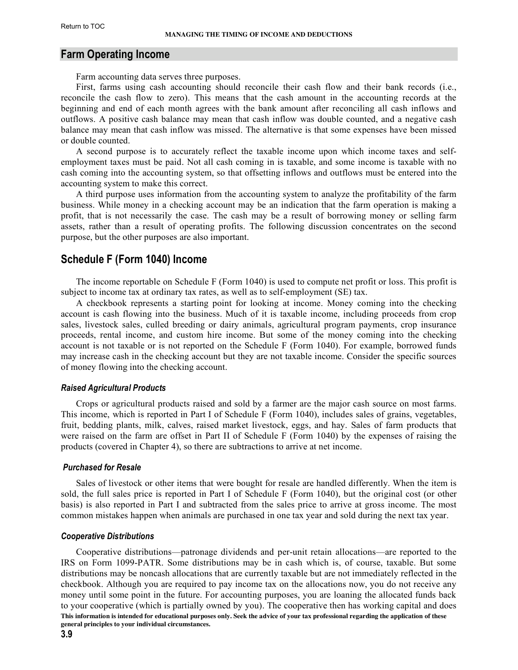## <span id="page-8-0"></span>**Farm Operating Income**

Farm accounting data serves three purposes.

First, farms using cash accounting should reconcile their cash flow and their bank records (i.e., reconcile the cash flow to zero). This means that the cash amount in the accounting records at the beginning and end of each month agrees with the bank amount after reconciling all cash inflows and outflows. A positive cash balance may mean that cash inflow was double counted, and a negative cash balance may mean that cash inflow was missed. The alternative is that some expenses have been missed or double counted.

A second purpose is to accurately reflect the taxable income upon which income taxes and selfemployment taxes must be paid. Not all cash coming in is taxable, and some income is taxable with no cash coming into the accounting system, so that offsetting inflows and outflows must be entered into the accounting system to make this correct.

A third purpose uses information from the accounting system to analyze the profitability of the farm business. While money in a checking account may be an indication that the farm operation is making a profit, that is not necessarily the case. The cash may be a result of borrowing money or selling farm assets, rather than a result of operating profits. The following discussion concentrates on the second purpose, but the other purposes are also important.

## **Schedule F (Form 1040) Income**

The income reportable on Schedule F (Form 1040) is used to compute net profit or loss. This profit is subject to income tax at ordinary tax rates, as well as to self-employment (SE) tax.

A checkbook represents a starting point for looking at income. Money coming into the checking account is cash flowing into the business. Much of it is taxable income, including proceeds from crop sales, livestock sales, culled breeding or dairy animals, agricultural program payments, crop insurance proceeds, rental income, and custom hire income. But some of the money coming into the checking account is not taxable or is not reported on the Schedule F (Form 1040). For example, borrowed funds may increase cash in the checking account but they are not taxable income. Consider the specific sources of money flowing into the checking account.

#### *Raised Agricultural Products*

Crops or agricultural products raised and sold by a farmer are the major cash source on most farms. This income, which is reported in Part I of Schedule F (Form 1040), includes sales of grains, vegetables, fruit, bedding plants, milk, calves, raised market livestock, eggs, and hay. Sales of farm products that were raised on the farm are offset in Part II of Schedule F (Form 1040) by the expenses of raising the products (covered in Chapter 4), so there are subtractions to arrive at net income.

#### *Purchased for Resale*

Sales of livestock or other items that were bought for resale are handled differently. When the item is sold, the full sales price is reported in Part I of Schedule F (Form 1040), but the original cost (or other basis) is also reported in Part I and subtracted from the sales price to arrive at gross income. The most common mistakes happen when animals are purchased in one tax year and sold during the next tax year.

#### *Cooperative Distributions*

**This information is intended for educational purposes only. Seek the advice of your tax professional regarding the application of these general principles to your individual circumstances.** Cooperative distributions—patronage dividends and per-unit retain allocations—are reported to the IRS on Form 1099-PATR. Some distributions may be in cash which is, of course, taxable. But some distributions may be noncash allocations that are currently taxable but are not immediately reflected in the checkbook. Although you are required to pay income tax on the allocations now, you do not receive any money until some point in the future. For accounting purposes, you are loaning the allocated funds back to your cooperative (which is partially owned by you). The cooperative then has working capital and does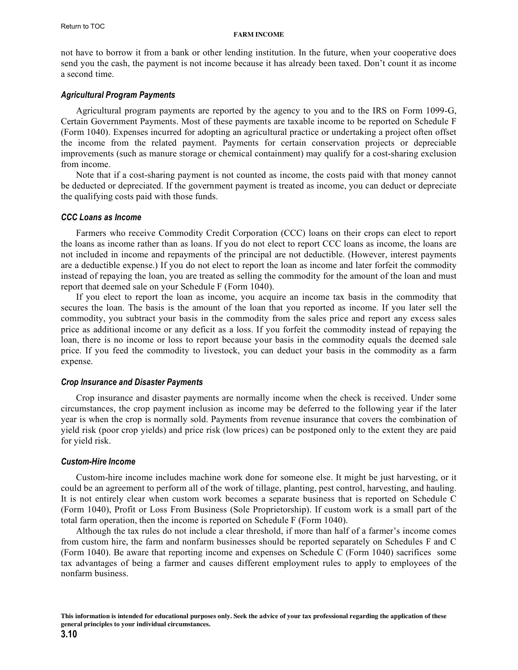<span id="page-9-0"></span>not have to borrow it from a bank or other lending institution. In the future, when your cooperative does send you the cash, the payment is not income because it has already been taxed. Don't count it as income a second time.

#### *Agricultural Program Payments*

Agricultural program payments are reported by the agency to you and to the IRS on Form 1099-G, Certain Government Payments. Most of these payments are taxable income to be reported on Schedule F (Form 1040). Expenses incurred for adopting an agricultural practice or undertaking a project often offset the income from the related payment. Payments for certain conservation projects or depreciable improvements (such as manure storage or chemical containment) may qualify for a cost-sharing exclusion from income.

Note that if a cost-sharing payment is not counted as income, the costs paid with that money cannot be deducted or depreciated. If the government payment is treated as income, you can deduct or depreciate the qualifying costs paid with those funds.

#### *CCC Loans as Income*

Farmers who receive Commodity Credit Corporation (CCC) loans on their crops can elect to report the loans as income rather than as loans. If you do not elect to report CCC loans as income, the loans are not included in income and repayments of the principal are not deductible. (However, interest payments are a deductible expense.) If you do not elect to report the loan as income and later forfeit the commodity instead of repaying the loan, you are treated as selling the commodity for the amount of the loan and must report that deemed sale on your Schedule F (Form 1040).

If you elect to report the loan as income, you acquire an income tax basis in the commodity that secures the loan. The basis is the amount of the loan that you reported as income. If you later sell the commodity, you subtract your basis in the commodity from the sales price and report any excess sales price as additional income or any deficit as a loss. If you forfeit the commodity instead of repaying the loan, there is no income or loss to report because your basis in the commodity equals the deemed sale price. If you feed the commodity to livestock, you can deduct your basis in the commodity as a farm expense.

#### *Crop Insurance and Disaster Payments*

Crop insurance and disaster payments are normally income when the check is received. Under some circumstances, the crop payment inclusion as income may be deferred to the following year if the later year is when the crop is normally sold. Payments from revenue insurance that covers the combination of yield risk (poor crop yields) and price risk (low prices) can be postponed only to the extent they are paid for yield risk.

#### *Custom-Hire Income*

Custom-hire income includes machine work done for someone else. It might be just harvesting, or it could be an agreement to perform all of the work of tillage, planting, pest control, harvesting, and hauling. It is not entirely clear when custom work becomes a separate business that is reported on Schedule C (Form 1040), Profit or Loss From Business (Sole Proprietorship). If custom work is a small part of the total farm operation, then the income is reported on Schedule F (Form 1040).

Although the tax rules do not include a clear threshold, if more than half of a farmer's income comes from custom hire, the farm and nonfarm businesses should be reported separately on Schedules F and C (Form 1040). Be aware that reporting income and expenses on Schedule C (Form 1040) sacrifices some tax advantages of being a farmer and causes different employment rules to apply to employees of the nonfarm business.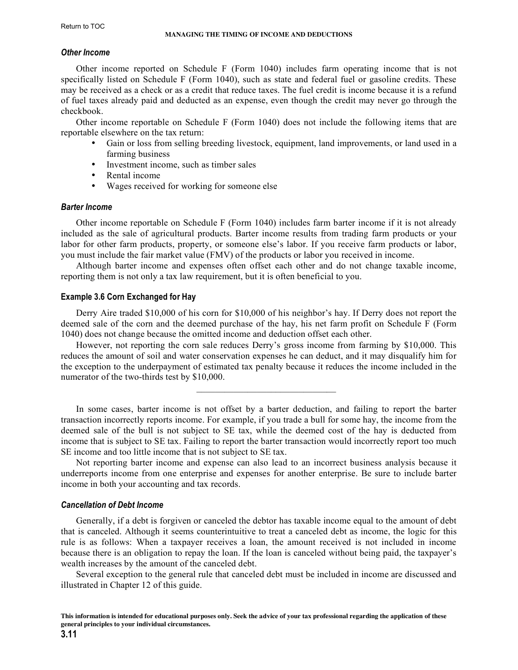## <span id="page-10-0"></span>*Other Income*

Other income reported on Schedule F (Form 1040) includes farm operating income that is not specifically listed on Schedule F (Form 1040), such as state and federal fuel or gasoline credits. These may be received as a check or as a credit that reduce taxes. The fuel credit is income because it is a refund of fuel taxes already paid and deducted as an expense, even though the credit may never go through the checkbook.

Other income reportable on Schedule F (Form 1040) does not include the following items that are reportable elsewhere on the tax return:

- Gain or loss from selling breeding livestock, equipment, land improvements, or land used in a farming business
- Investment income, such as timber sales
- Rental income
- Wages received for working for someone else

## *Barter Income*

Other income reportable on Schedule F (Form 1040) includes farm barter income if it is not already included as the sale of agricultural products. Barter income results from trading farm products or your labor for other farm products, property, or someone else's labor. If you receive farm products or labor, you must include the fair market value (FMV) of the products or labor you received in income.

Although barter income and expenses often offset each other and do not change taxable income, reporting them is not only a tax law requirement, but it is often beneficial to you.

## **Example 3.6 Corn Exchanged for Hay**

Derry Aire traded \$10,000 of his corn for \$10,000 of his neighbor's hay. If Derry does not report the deemed sale of the corn and the deemed purchase of the hay, his net farm profit on Schedule F (Form 1040) does not change because the omitted income and deduction offset each other.

However, not reporting the corn sale reduces Derry's gross income from farming by \$10,000. This reduces the amount of soil and water conservation expenses he can deduct, and it may disqualify him for the exception to the underpayment of estimated tax penalty because it reduces the income included in the numerator of the two-thirds test by \$10,000.

 $\mathcal{L}_\text{max}$  and  $\mathcal{L}_\text{max}$  and  $\mathcal{L}_\text{max}$  and  $\mathcal{L}_\text{max}$ 

In some cases, barter income is not offset by a barter deduction, and failing to report the barter transaction incorrectly reports income. For example, if you trade a bull for some hay, the income from the deemed sale of the bull is not subject to SE tax, while the deemed cost of the hay is deducted from income that is subject to SE tax. Failing to report the barter transaction would incorrectly report too much SE income and too little income that is not subject to SE tax.

Not reporting barter income and expense can also lead to an incorrect business analysis because it underreports income from one enterprise and expenses for another enterprise. Be sure to include barter income in both your accounting and tax records.

## *Cancellation of Debt Income*

Generally, if a debt is forgiven or canceled the debtor has taxable income equal to the amount of debt that is canceled. Although it seems counterintuitive to treat a canceled debt as income, the logic for this rule is as follows: When a taxpayer receives a loan, the amount received is not included in income because there is an obligation to repay the loan. If the loan is canceled without being paid, the taxpayer's wealth increases by the amount of the canceled debt.

Several exception to the general rule that canceled debt must be included in income are discussed and illustrated in Chapter 12 of this guide.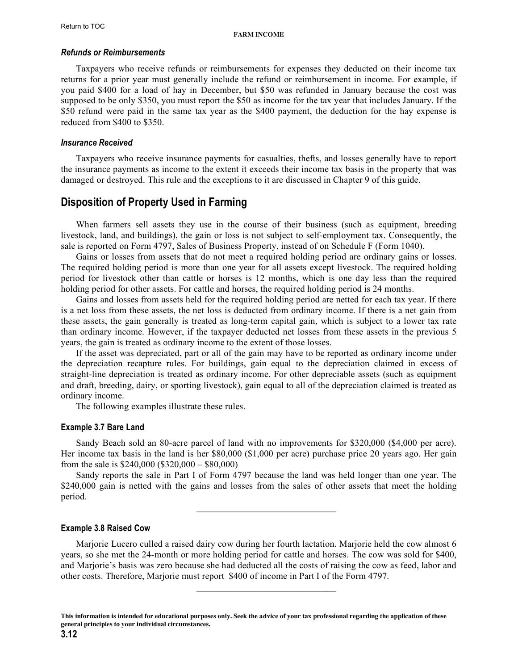#### <span id="page-11-0"></span>*Refunds or Reimbursements*

Taxpayers who receive refunds or reimbursements for expenses they deducted on their income tax returns for a prior year must generally include the refund or reimbursement in income. For example, if you paid \$400 for a load of hay in December, but \$50 was refunded in January because the cost was supposed to be only \$350, you must report the \$50 as income for the tax year that includes January. If the \$50 refund were paid in the same tax year as the \$400 payment, the deduction for the hay expense is reduced from \$400 to \$350.

#### *Insurance Received*

Taxpayers who receive insurance payments for casualties, thefts, and losses generally have to report the insurance payments as income to the extent it exceeds their income tax basis in the property that was damaged or destroyed. This rule and the exceptions to it are discussed in Chapter 9 of this guide.

## **Disposition of Property Used in Farming**

When farmers sell assets they use in the course of their business (such as equipment, breeding livestock, land, and buildings), the gain or loss is not subject to self-employment tax. Consequently, the sale is reported on Form 4797, Sales of Business Property, instead of on Schedule F (Form 1040).

Gains or losses from assets that do not meet a required holding period are ordinary gains or losses. The required holding period is more than one year for all assets except livestock. The required holding period for livestock other than cattle or horses is 12 months, which is one day less than the required holding period for other assets. For cattle and horses, the required holding period is 24 months.

Gains and losses from assets held for the required holding period are netted for each tax year. If there is a net loss from these assets, the net loss is deducted from ordinary income. If there is a net gain from these assets, the gain generally is treated as long-term capital gain, which is subject to a lower tax rate than ordinary income. However, if the taxpayer deducted net losses from these assets in the previous 5 years, the gain is treated as ordinary income to the extent of those losses.

If the asset was depreciated, part or all of the gain may have to be reported as ordinary income under the depreciation recapture rules. For buildings, gain equal to the depreciation claimed in excess of straight-line depreciation is treated as ordinary income. For other depreciable assets (such as equipment and draft, breeding, dairy, or sporting livestock), gain equal to all of the depreciation claimed is treated as ordinary income.

The following examples illustrate these rules.

#### **Example 3.7 Bare Land**

Sandy Beach sold an 80-acre parcel of land with no improvements for \$320,000 (\$4,000 per acre). Her income tax basis in the land is her \$80,000 (\$1,000 per acre) purchase price 20 years ago. Her gain from the sale is \$240,000 (\$320,000 – \$80,000)

Sandy reports the sale in Part I of Form 4797 because the land was held longer than one year. The \$240,000 gain is netted with the gains and losses from the sales of other assets that meet the holding period.

 $\mathcal{L}_\text{max}$  and  $\mathcal{L}_\text{max}$  and  $\mathcal{L}_\text{max}$  and  $\mathcal{L}_\text{max}$ 

#### **Example 3.8 Raised Cow**

Marjorie Lucero culled a raised dairy cow during her fourth lactation. Marjorie held the cow almost 6 years, so she met the 24-month or more holding period for cattle and horses. The cow was sold for \$400, and Marjorie's basis was zero because she had deducted all the costs of raising the cow as feed, labor and other costs. Therefore, Marjorie must report \$400 of income in Part I of the Form 4797.

**This information is intended for educational purposes only. Seek the advice of your tax professional regarding the application of these general principles to your individual circumstances.**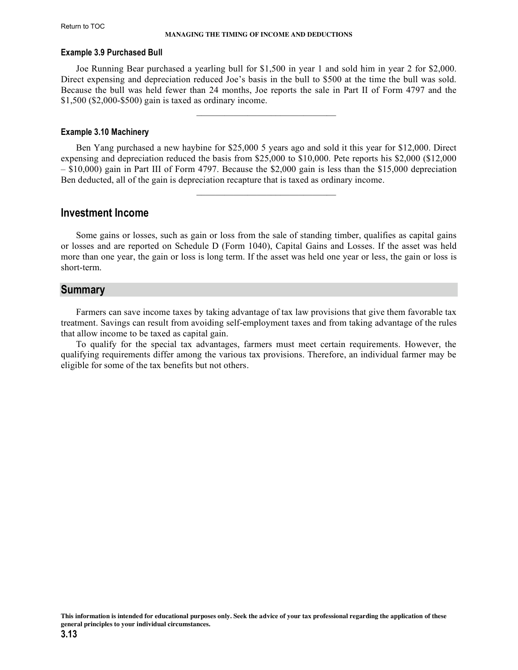#### <span id="page-12-0"></span>**Example 3.9 Purchased Bull**

Joe Running Bear purchased a yearling bull for \$1,500 in year 1 and sold him in year 2 for \$2,000. Direct expensing and depreciation reduced Joe's basis in the bull to \$500 at the time the bull was sold. Because the bull was held fewer than 24 months, Joe reports the sale in Part II of Form 4797 and the \$1,500 (\$2,000-\$500) gain is taxed as ordinary income.

 $\mathcal{L}_\text{max}$  and  $\mathcal{L}_\text{max}$  and  $\mathcal{L}_\text{max}$  and  $\mathcal{L}_\text{max}$ 

#### **Example 3.10 Machinery**

Ben Yang purchased a new haybine for \$25,000 5 years ago and sold it this year for \$12,000. Direct expensing and depreciation reduced the basis from \$25,000 to \$10,000. Pete reports his \$2,000 (\$12,000 – \$10,000) gain in Part III of Form 4797. Because the \$2,000 gain is less than the \$15,000 depreciation Ben deducted, all of the gain is depreciation recapture that is taxed as ordinary income.

 $\mathcal{L}_\text{max}$  and  $\mathcal{L}_\text{max}$  and  $\mathcal{L}_\text{max}$  and  $\mathcal{L}_\text{max}$ 

## **Investment Income**

Some gains or losses, such as gain or loss from the sale of standing timber, qualifies as capital gains or losses and are reported on Schedule D (Form 1040), Capital Gains and Losses. If the asset was held more than one year, the gain or loss is long term. If the asset was held one year or less, the gain or loss is short-term.

## **Summary**

Farmers can save income taxes by taking advantage of tax law provisions that give them favorable tax treatment. Savings can result from avoiding self-employment taxes and from taking advantage of the rules that allow income to be taxed as capital gain.

To qualify for the special tax advantages, farmers must meet certain requirements. However, the qualifying requirements differ among the various tax provisions. Therefore, an individual farmer may be eligible for some of the tax benefits but not others.